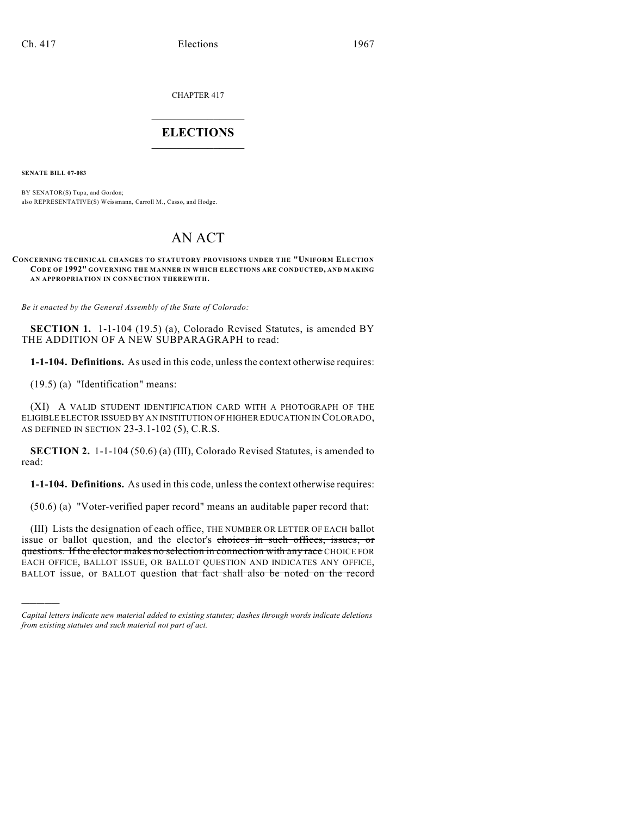CHAPTER 417

## $\mathcal{L}_\text{max}$  . The set of the set of the set of the set of the set of the set of the set of the set of the set of the set of the set of the set of the set of the set of the set of the set of the set of the set of the set **ELECTIONS**  $\_$

**SENATE BILL 07-083**

)))))

BY SENATOR(S) Tupa, and Gordon; also REPRESENTATIVE(S) Weissmann, Carroll M., Casso, and Hodge.

# AN ACT

#### **CONCERNING TECHNICAL CHANGES TO STATUTORY PROVISIONS UNDER THE "UNIFORM ELECTION CODE OF 1992" GOVERNING THE MANNER IN WHICH ELECTIONS ARE CONDUCTED, AND MAKING AN APPROPRIATION IN CONNECTION THEREWITH.**

*Be it enacted by the General Assembly of the State of Colorado:*

**SECTION 1.** 1-1-104 (19.5) (a), Colorado Revised Statutes, is amended BY THE ADDITION OF A NEW SUBPARAGRAPH to read:

**1-1-104. Definitions.** As used in this code, unless the context otherwise requires:

(19.5) (a) "Identification" means:

(XI) A VALID STUDENT IDENTIFICATION CARD WITH A PHOTOGRAPH OF THE ELIGIBLE ELECTOR ISSUED BY AN INSTITUTION OF HIGHER EDUCATION IN COLORADO, AS DEFINED IN SECTION 23-3.1-102 (5), C.R.S.

**SECTION 2.** 1-1-104 (50.6) (a) (III), Colorado Revised Statutes, is amended to read:

**1-1-104. Definitions.** As used in this code, unless the context otherwise requires:

(50.6) (a) "Voter-verified paper record" means an auditable paper record that:

(III) Lists the designation of each office, THE NUMBER OR LETTER OF EACH ballot issue or ballot question, and the elector's choices in such offices, issues, or questions. If the elector makes no selection in connection with any race CHOICE FOR EACH OFFICE, BALLOT ISSUE, OR BALLOT QUESTION AND INDICATES ANY OFFICE, BALLOT issue, or BALLOT question that fact shall also be noted on the record

*Capital letters indicate new material added to existing statutes; dashes through words indicate deletions from existing statutes and such material not part of act.*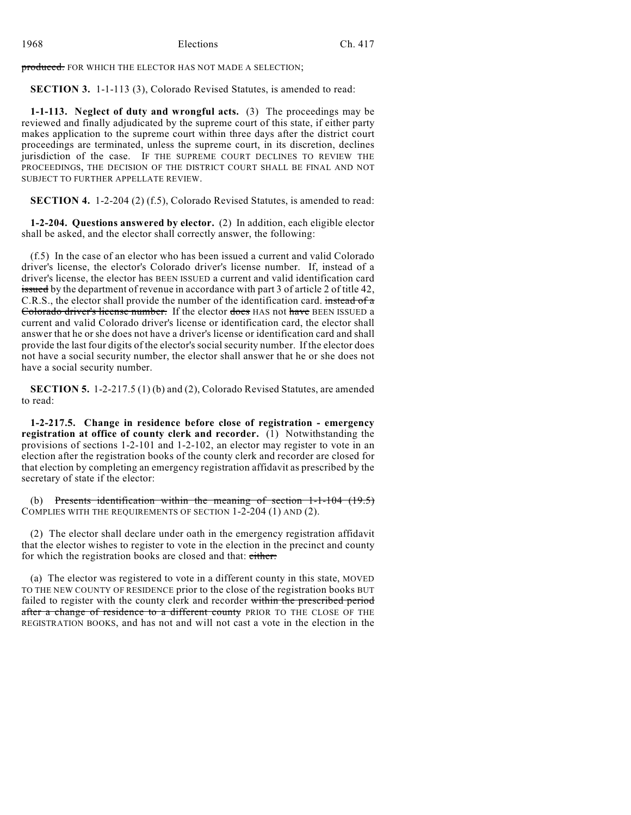produced. FOR WHICH THE ELECTOR HAS NOT MADE A SELECTION;

**SECTION 3.** 1-1-113 (3), Colorado Revised Statutes, is amended to read:

**1-1-113. Neglect of duty and wrongful acts.** (3) The proceedings may be reviewed and finally adjudicated by the supreme court of this state, if either party makes application to the supreme court within three days after the district court proceedings are terminated, unless the supreme court, in its discretion, declines jurisdiction of the case. IF THE SUPREME COURT DECLINES TO REVIEW THE PROCEEDINGS, THE DECISION OF THE DISTRICT COURT SHALL BE FINAL AND NOT SUBJECT TO FURTHER APPELLATE REVIEW.

**SECTION 4.** 1-2-204 (2) (f.5), Colorado Revised Statutes, is amended to read:

**1-2-204. Questions answered by elector.** (2) In addition, each eligible elector shall be asked, and the elector shall correctly answer, the following:

(f.5) In the case of an elector who has been issued a current and valid Colorado driver's license, the elector's Colorado driver's license number. If, instead of a driver's license, the elector has BEEN ISSUED a current and valid identification card issued by the department of revenue in accordance with part 3 of article 2 of title 42, C.R.S., the elector shall provide the number of the identification card. instead of a Colorado driver's license number. If the elector does HAS not have BEEN ISSUED a current and valid Colorado driver's license or identification card, the elector shall answer that he or she does not have a driver's license or identification card and shall provide the last four digits of the elector's social security number. If the elector does not have a social security number, the elector shall answer that he or she does not have a social security number.

**SECTION 5.** 1-2-217.5 (1) (b) and (2), Colorado Revised Statutes, are amended to read:

**1-2-217.5. Change in residence before close of registration - emergency registration at office of county clerk and recorder.** (1) Notwithstanding the provisions of sections 1-2-101 and 1-2-102, an elector may register to vote in an election after the registration books of the county clerk and recorder are closed for that election by completing an emergency registration affidavit as prescribed by the secretary of state if the elector:

(b) Presents identification within the meaning of section  $1-1-104$  (19.5) COMPLIES WITH THE REQUIREMENTS OF SECTION 1-2-204 (1) AND (2).

(2) The elector shall declare under oath in the emergency registration affidavit that the elector wishes to register to vote in the election in the precinct and county for which the registration books are closed and that: either:

(a) The elector was registered to vote in a different county in this state, MOVED TO THE NEW COUNTY OF RESIDENCE prior to the close of the registration books BUT failed to register with the county clerk and recorder within the prescribed period after a change of residence to a different county PRIOR TO THE CLOSE OF THE REGISTRATION BOOKS, and has not and will not cast a vote in the election in the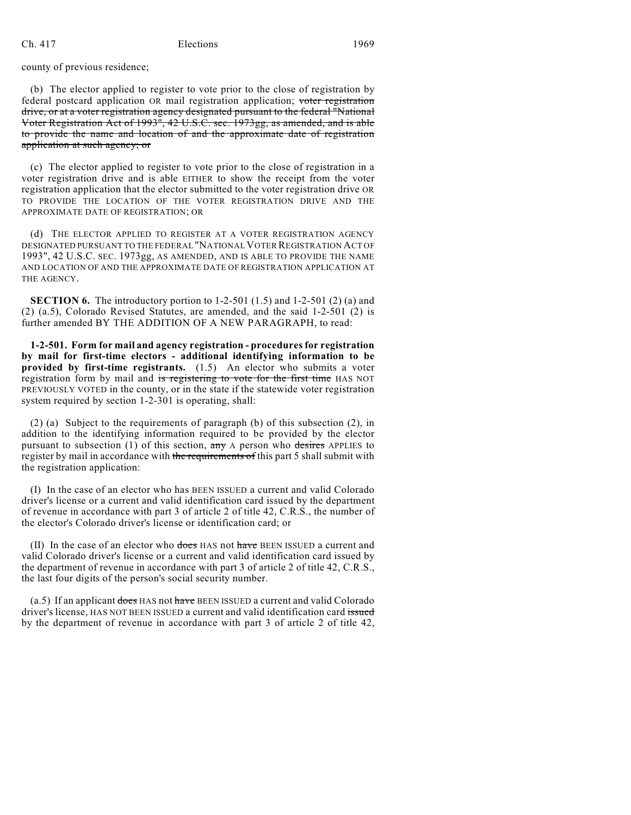county of previous residence;

(b) The elector applied to register to vote prior to the close of registration by federal postcard application OR mail registration application; voter registration drive, or at a voter registration agency designated pursuant to the federal "National Voter Registration Act of 1993", 42 U.S.C. sec. 1973gg, as amended, and is able to provide the name and location of and the approximate date of registration application at such agency; or

(c) The elector applied to register to vote prior to the close of registration in a voter registration drive and is able EITHER to show the receipt from the voter registration application that the elector submitted to the voter registration drive OR TO PROVIDE THE LOCATION OF THE VOTER REGISTRATION DRIVE AND THE APPROXIMATE DATE OF REGISTRATION; OR

(d) THE ELECTOR APPLIED TO REGISTER AT A VOTER REGISTRATION AGENCY DESIGNATED PURSUANT TO THE FEDERAL "NATIONAL VOTER REGISTRATION ACT OF 1993", 42 U.S.C. SEC. 1973gg, AS AMENDED, AND IS ABLE TO PROVIDE THE NAME AND LOCATION OF AND THE APPROXIMATE DATE OF REGISTRATION APPLICATION AT THE AGENCY.

**SECTION 6.** The introductory portion to 1-2-501 (1.5) and 1-2-501 (2) (a) and (2) (a.5), Colorado Revised Statutes, are amended, and the said 1-2-501 (2) is further amended BY THE ADDITION OF A NEW PARAGRAPH, to read:

**1-2-501. Form for mail and agency registration - procedures for registration by mail for first-time electors - additional identifying information to be provided by first-time registrants.** (1.5) An elector who submits a voter registration form by mail and is registering to vote for the first time HAS NOT PREVIOUSLY VOTED in the county, or in the state if the statewide voter registration system required by section 1-2-301 is operating, shall:

(2) (a) Subject to the requirements of paragraph (b) of this subsection (2), in addition to the identifying information required to be provided by the elector pursuant to subsection (1) of this section,  $\frac{dy}{dx}$  A person who desires APPLIES to register by mail in accordance with the requirements of this part 5 shall submit with the registration application:

(I) In the case of an elector who has BEEN ISSUED a current and valid Colorado driver's license or a current and valid identification card issued by the department of revenue in accordance with part 3 of article 2 of title 42, C.R.S., the number of the elector's Colorado driver's license or identification card; or

(II) In the case of an elector who does HAS not have BEEN ISSUED a current and valid Colorado driver's license or a current and valid identification card issued by the department of revenue in accordance with part 3 of article 2 of title 42, C.R.S., the last four digits of the person's social security number.

 $(a.5)$  If an applicant does HAS not have BEEN ISSUED a current and valid Colorado driver's license, HAS NOT BEEN ISSUED a current and valid identification card issued by the department of revenue in accordance with part 3 of article 2 of title 42,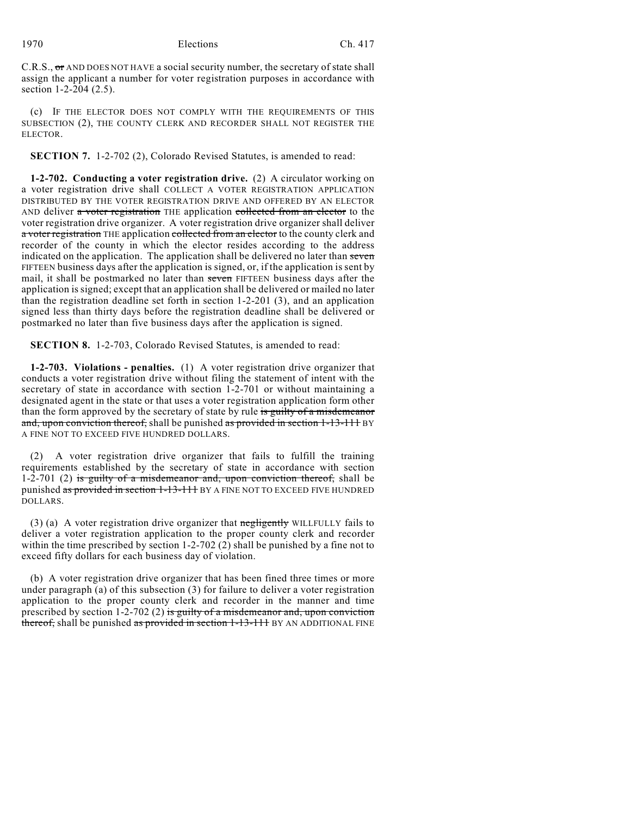C.R.S.,  $\sigma$  AND DOES NOT HAVE a social security number, the secretary of state shall assign the applicant a number for voter registration purposes in accordance with section 1-2-204 (2.5).

(c) IF THE ELECTOR DOES NOT COMPLY WITH THE REQUIREMENTS OF THIS SUBSECTION (2), THE COUNTY CLERK AND RECORDER SHALL NOT REGISTER THE ELECTOR.

**SECTION 7.** 1-2-702 (2), Colorado Revised Statutes, is amended to read:

**1-2-702. Conducting a voter registration drive.** (2) A circulator working on a voter registration drive shall COLLECT A VOTER REGISTRATION APPLICATION DISTRIBUTED BY THE VOTER REGISTRATION DRIVE AND OFFERED BY AN ELECTOR AND deliver a voter registration THE application collected from an elector to the voter registration drive organizer. A voter registration drive organizer shall deliver a voter registration THE application collected from an elector to the county clerk and recorder of the county in which the elector resides according to the address indicated on the application. The application shall be delivered no later than seven FIFTEEN business days after the application is signed, or, if the application is sent by mail, it shall be postmarked no later than seven FIFTEEN business days after the application is signed; except that an application shall be delivered or mailed no later than the registration deadline set forth in section 1-2-201 (3), and an application signed less than thirty days before the registration deadline shall be delivered or postmarked no later than five business days after the application is signed.

**SECTION 8.** 1-2-703, Colorado Revised Statutes, is amended to read:

**1-2-703. Violations - penalties.** (1) A voter registration drive organizer that conducts a voter registration drive without filing the statement of intent with the secretary of state in accordance with section 1-2-701 or without maintaining a designated agent in the state or that uses a voter registration application form other than the form approved by the secretary of state by rule is guilty of a misdemeanor and, upon conviction thereof, shall be punished as provided in section 1-13-111 BY A FINE NOT TO EXCEED FIVE HUNDRED DOLLARS.

(2) A voter registration drive organizer that fails to fulfill the training requirements established by the secretary of state in accordance with section 1-2-701 (2) is guilty of a misdemeanor and, upon conviction thereof, shall be punished as provided in section 1-13-111 BY A FINE NOT TO EXCEED FIVE HUNDRED DOLLARS.

(3) (a) A voter registration drive organizer that  $\frac{1}{2}$  merely WILLFULLY fails to deliver a voter registration application to the proper county clerk and recorder within the time prescribed by section 1-2-702 (2) shall be punished by a fine not to exceed fifty dollars for each business day of violation.

(b) A voter registration drive organizer that has been fined three times or more under paragraph (a) of this subsection (3) for failure to deliver a voter registration application to the proper county clerk and recorder in the manner and time prescribed by section 1-2-702 (2) is guilty of a misdemeanor and, upon conviction thereof, shall be punished as provided in section 1-13-111 BY AN ADDITIONAL FINE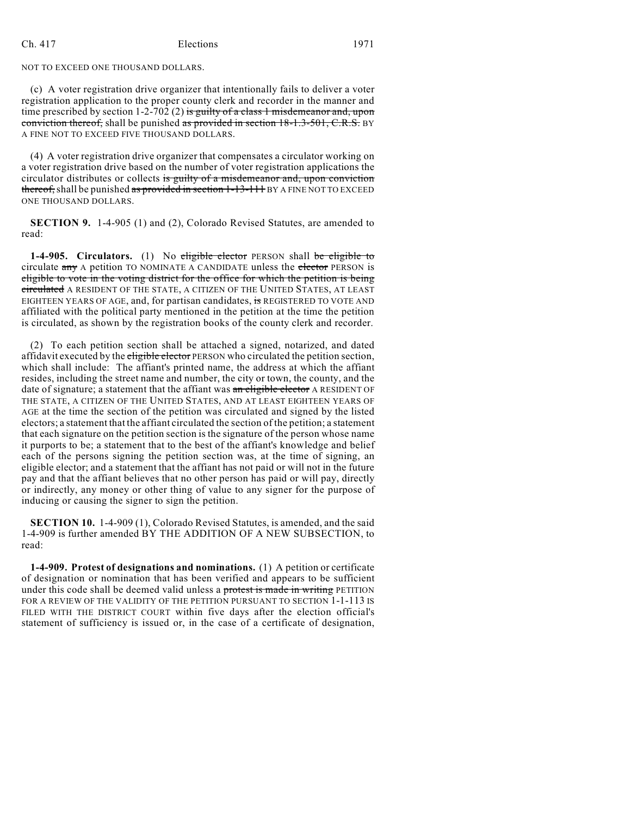#### NOT TO EXCEED ONE THOUSAND DOLLARS.

(c) A voter registration drive organizer that intentionally fails to deliver a voter registration application to the proper county clerk and recorder in the manner and time prescribed by section 1-2-702 (2) is guilty of a class 1 misdemeanor and, upon conviction thereof, shall be punished as provided in section 18-1.3-501, C.R.S. BY A FINE NOT TO EXCEED FIVE THOUSAND DOLLARS.

(4) A voter registration drive organizer that compensates a circulator working on a voter registration drive based on the number of voter registration applications the circulator distributes or collects is guilty of a misdemeanor and, upon conviction thereof, shall be punished as provided in section 1-13-111 BY A FINE NOT TO EXCEED ONE THOUSAND DOLLARS.

**SECTION 9.** 1-4-905 (1) and (2), Colorado Revised Statutes, are amended to read:

**1-4-905.** Circulators. (1) No eligible elector PERSON shall be eligible to circulate any A petition TO NOMINATE A CANDIDATE unless the elector PERSON is eligible to vote in the voting district for the office for which the petition is being circulated A RESIDENT OF THE STATE, A CITIZEN OF THE UNITED STATES, AT LEAST EIGHTEEN YEARS OF AGE, and, for partisan candidates, is REGISTERED TO VOTE AND affiliated with the political party mentioned in the petition at the time the petition is circulated, as shown by the registration books of the county clerk and recorder.

(2) To each petition section shall be attached a signed, notarized, and dated affidavit executed by the eligible elector PERSON who circulated the petition section, which shall include: The affiant's printed name, the address at which the affiant resides, including the street name and number, the city or town, the county, and the date of signature; a statement that the affiant was an eligible elector A RESIDENT OF THE STATE, A CITIZEN OF THE UNITED STATES, AND AT LEAST EIGHTEEN YEARS OF AGE at the time the section of the petition was circulated and signed by the listed electors; a statement that the affiant circulated the section of the petition; a statement that each signature on the petition section is the signature of the person whose name it purports to be; a statement that to the best of the affiant's knowledge and belief each of the persons signing the petition section was, at the time of signing, an eligible elector; and a statement that the affiant has not paid or will not in the future pay and that the affiant believes that no other person has paid or will pay, directly or indirectly, any money or other thing of value to any signer for the purpose of inducing or causing the signer to sign the petition.

**SECTION 10.** 1-4-909 (1), Colorado Revised Statutes, is amended, and the said 1-4-909 is further amended BY THE ADDITION OF A NEW SUBSECTION, to read:

**1-4-909. Protest of designations and nominations.** (1) A petition or certificate of designation or nomination that has been verified and appears to be sufficient under this code shall be deemed valid unless a protest is made in writing PETITION FOR A REVIEW OF THE VALIDITY OF THE PETITION PURSUANT TO SECTION  $1$ -1-113 IS FILED WITH THE DISTRICT COURT within five days after the election official's statement of sufficiency is issued or, in the case of a certificate of designation,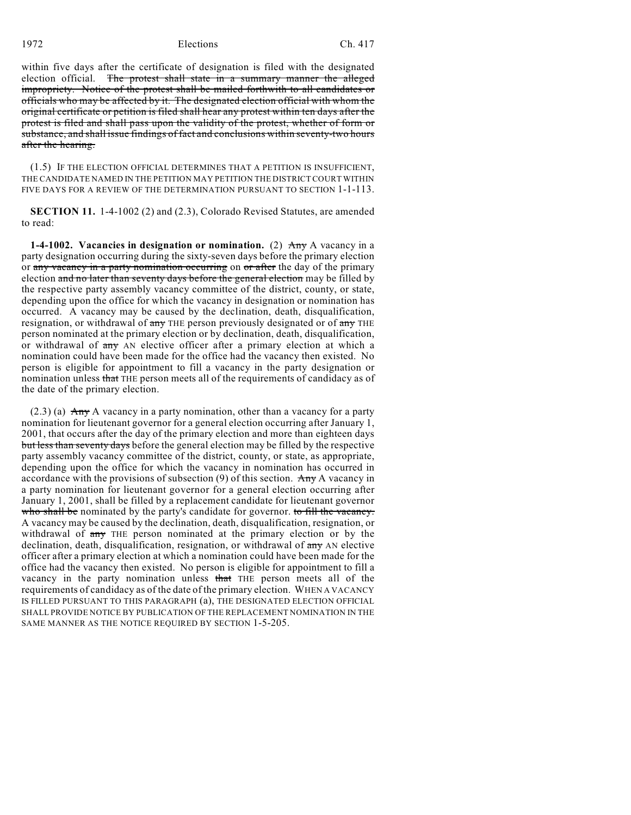within five days after the certificate of designation is filed with the designated election official. The protest shall state in a summary manner the alleged impropriety. Notice of the protest shall be mailed forthwith to all candidates or officials who may be affected by it. The designated election official with whom the original certificate or petition is filed shall hear any protest within ten days after the protest is filed and shall pass upon the validity of the protest, whether of form or substance, and shall issue findings of fact and conclusions within seventy-two hours after the hearing.

(1.5) IF THE ELECTION OFFICIAL DETERMINES THAT A PETITION IS INSUFFICIENT, THE CANDIDATE NAMED IN THE PETITION MAY PETITION THE DISTRICTCOURT WITHIN FIVE DAYS FOR A REVIEW OF THE DETERMINATION PURSUANT TO SECTION 1-1-113.

**SECTION 11.** 1-4-1002 (2) and (2.3), Colorado Revised Statutes, are amended to read:

**1-4-1002.** Vacancies in designation or nomination. (2)  $\overrightarrow{Any}$  A vacancy in a party designation occurring during the sixty-seven days before the primary election or any vacancy in a party nomination occurring on or after the day of the primary election and no later than seventy days before the general election may be filled by the respective party assembly vacancy committee of the district, county, or state, depending upon the office for which the vacancy in designation or nomination has occurred. A vacancy may be caused by the declination, death, disqualification, resignation, or withdrawal of any THE person previously designated or of any THE person nominated at the primary election or by declination, death, disqualification, or withdrawal of any AN elective officer after a primary election at which a nomination could have been made for the office had the vacancy then existed. No person is eligible for appointment to fill a vacancy in the party designation or nomination unless that THE person meets all of the requirements of candidacy as of the date of the primary election.

 $(2.3)$  (a) Any A vacancy in a party nomination, other than a vacancy for a party nomination for lieutenant governor for a general election occurring after January 1, 2001, that occurs after the day of the primary election and more than eighteen days but less than seventy days before the general election may be filled by the respective party assembly vacancy committee of the district, county, or state, as appropriate, depending upon the office for which the vacancy in nomination has occurred in accordance with the provisions of subsection  $(9)$  of this section. Any A vacancy in a party nomination for lieutenant governor for a general election occurring after January 1, 2001, shall be filled by a replacement candidate for lieutenant governor who shall be nominated by the party's candidate for governor. to fill the vacancy. A vacancy may be caused by the declination, death, disqualification, resignation, or withdrawal of  $\frac{any}{any}$  THE person nominated at the primary election or by the declination, death, disqualification, resignation, or withdrawal of  $\frac{day}{x}$  AN elective officer after a primary election at which a nomination could have been made for the office had the vacancy then existed. No person is eligible for appointment to fill a vacancy in the party nomination unless that THE person meets all of the requirements of candidacy as of the date of the primary election. WHEN A VACANCY IS FILLED PURSUANT TO THIS PARAGRAPH (a), THE DESIGNATED ELECTION OFFICIAL SHALL PROVIDE NOTICE BY PUBLICATION OF THE REPLACEMENT NOMINATION IN THE SAME MANNER AS THE NOTICE REQUIRED BY SECTION 1-5-205.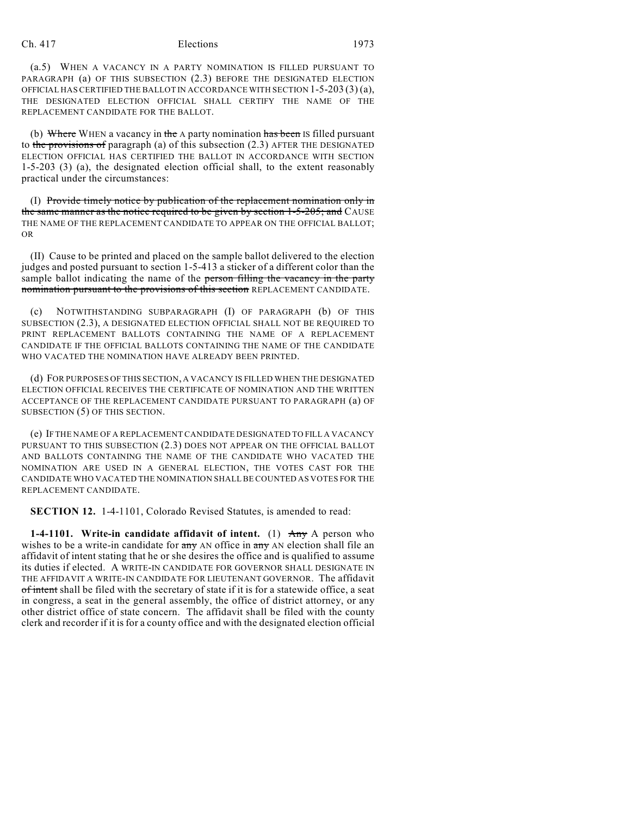(a.5) WHEN A VACANCY IN A PARTY NOMINATION IS FILLED PURSUANT TO PARAGRAPH (a) OF THIS SUBSECTION (2.3) BEFORE THE DESIGNATED ELECTION OFFICIAL HAS CERTIFIED THE BALLOT IN ACCORDANCE WITH SECTION 1-5-203 (3) (a), THE DESIGNATED ELECTION OFFICIAL SHALL CERTIFY THE NAME OF THE REPLACEMENT CANDIDATE FOR THE BALLOT.

(b) Where WHEN a vacancy in the  $A$  party nomination has been IS filled pursuant to the provisions of paragraph (a) of this subsection (2.3) AFTER THE DESIGNATED ELECTION OFFICIAL HAS CERTIFIED THE BALLOT IN ACCORDANCE WITH SECTION 1-5-203 (3) (a), the designated election official shall, to the extent reasonably practical under the circumstances:

(I) Provide timely notice by publication of the replacement nomination only in the same manner as the notice required to be given by section 1-5-205; and CAUSE THE NAME OF THE REPLACEMENT CANDIDATE TO APPEAR ON THE OFFICIAL BALLOT; OR

(II) Cause to be printed and placed on the sample ballot delivered to the election judges and posted pursuant to section 1-5-413 a sticker of a different color than the sample ballot indicating the name of the person filling the vacancy in the party nomination pursuant to the provisions of this section REPLACEMENT CANDIDATE.

(c) NOTWITHSTANDING SUBPARAGRAPH (I) OF PARAGRAPH (b) OF THIS SUBSECTION (2.3), A DESIGNATED ELECTION OFFICIAL SHALL NOT BE REQUIRED TO PRINT REPLACEMENT BALLOTS CONTAINING THE NAME OF A REPLACEMENT CANDIDATE IF THE OFFICIAL BALLOTS CONTAINING THE NAME OF THE CANDIDATE WHO VACATED THE NOMINATION HAVE ALREADY BEEN PRINTED.

(d) FOR PURPOSES OF THIS SECTION, A VACANCY IS FILLED WHEN THE DESIGNATED ELECTION OFFICIAL RECEIVES THE CERTIFICATE OF NOMINATION AND THE WRITTEN ACCEPTANCE OF THE REPLACEMENT CANDIDATE PURSUANT TO PARAGRAPH (a) OF SUBSECTION (5) OF THIS SECTION.

(e) IF THE NAME OF A REPLACEMENT CANDIDATE DESIGNATED TO FILL A VACANCY PURSUANT TO THIS SUBSECTION (2.3) DOES NOT APPEAR ON THE OFFICIAL BALLOT AND BALLOTS CONTAINING THE NAME OF THE CANDIDATE WHO VACATED THE NOMINATION ARE USED IN A GENERAL ELECTION, THE VOTES CAST FOR THE CANDIDATE WHO VACATED THE NOMINATION SHALL BE COUNTED AS VOTES FOR THE REPLACEMENT CANDIDATE.

**SECTION 12.** 1-4-1101, Colorado Revised Statutes, is amended to read:

**1-4-1101.** Write-in candidate affidavit of intent. (1) Any A person who wishes to be a write-in candidate for any AN office in any AN election shall file an affidavit of intent stating that he or she desires the office and is qualified to assume its duties if elected. A WRITE-IN CANDIDATE FOR GOVERNOR SHALL DESIGNATE IN THE AFFIDAVIT A WRITE-IN CANDIDATE FOR LIEUTENANT GOVERNOR. The affidavit of intent shall be filed with the secretary of state if it is for a statewide office, a seat in congress, a seat in the general assembly, the office of district attorney, or any other district office of state concern. The affidavit shall be filed with the county clerk and recorder if it is for a county office and with the designated election official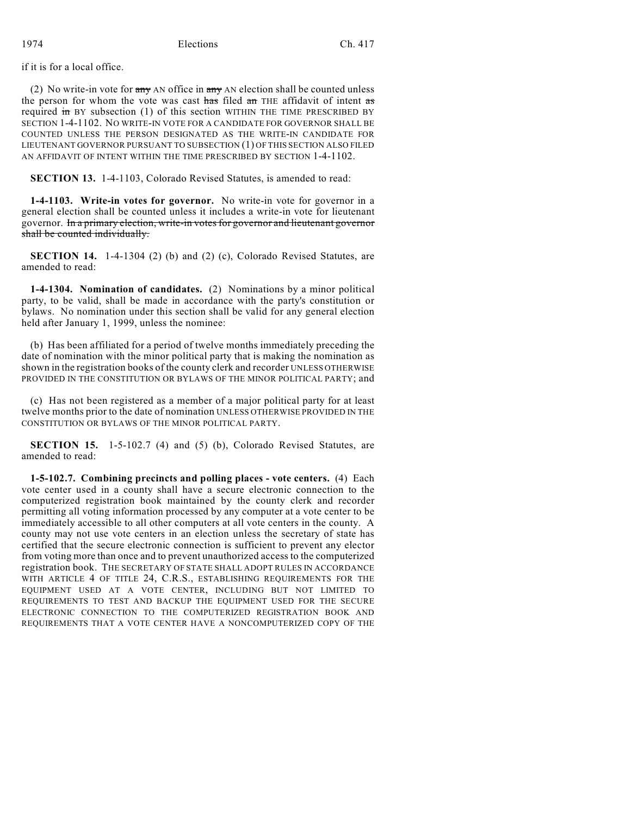if it is for a local office.

(2) No write-in vote for  $\frac{any}{ay}$  AN office in  $\frac{any}{ay}$  AN election shall be counted unless the person for whom the vote was cast has filed an THE affidavit of intent as required in BY subsection (1) of this section WITHIN THE TIME PRESCRIBED BY SECTION 1-4-1102. NO WRITE-IN VOTE FOR A CANDIDATE FOR GOVERNOR SHALL BE COUNTED UNLESS THE PERSON DESIGNATED AS THE WRITE-IN CANDIDATE FOR LIEUTENANT GOVERNOR PURSUANT TO SUBSECTION (1) OF THIS SECTION ALSO FILED AN AFFIDAVIT OF INTENT WITHIN THE TIME PRESCRIBED BY SECTION 1-4-1102.

**SECTION 13.** 1-4-1103, Colorado Revised Statutes, is amended to read:

**1-4-1103. Write-in votes for governor.** No write-in vote for governor in a general election shall be counted unless it includes a write-in vote for lieutenant governor. In a primary election, write-in votes for governor and lieutenant governor shall be counted individually.

**SECTION 14.** 1-4-1304 (2) (b) and (2) (c), Colorado Revised Statutes, are amended to read:

**1-4-1304. Nomination of candidates.** (2) Nominations by a minor political party, to be valid, shall be made in accordance with the party's constitution or bylaws. No nomination under this section shall be valid for any general election held after January 1, 1999, unless the nominee:

(b) Has been affiliated for a period of twelve months immediately preceding the date of nomination with the minor political party that is making the nomination as shown in the registration books of the county clerk and recorder UNLESS OTHERWISE PROVIDED IN THE CONSTITUTION OR BYLAWS OF THE MINOR POLITICAL PARTY; and

(c) Has not been registered as a member of a major political party for at least twelve months prior to the date of nomination UNLESS OTHERWISE PROVIDED IN THE CONSTITUTION OR BYLAWS OF THE MINOR POLITICAL PARTY.

**SECTION 15.** 1-5-102.7 (4) and (5) (b), Colorado Revised Statutes, are amended to read:

**1-5-102.7. Combining precincts and polling places - vote centers.** (4) Each vote center used in a county shall have a secure electronic connection to the computerized registration book maintained by the county clerk and recorder permitting all voting information processed by any computer at a vote center to be immediately accessible to all other computers at all vote centers in the county. A county may not use vote centers in an election unless the secretary of state has certified that the secure electronic connection is sufficient to prevent any elector from voting more than once and to prevent unauthorized access to the computerized registration book. THE SECRETARY OF STATE SHALL ADOPT RULES IN ACCORDANCE WITH ARTICLE 4 OF TITLE 24, C.R.S., ESTABLISHING REQUIREMENTS FOR THE EQUIPMENT USED AT A VOTE CENTER, INCLUDING BUT NOT LIMITED TO REQUIREMENTS TO TEST AND BACKUP THE EQUIPMENT USED FOR THE SECURE ELECTRONIC CONNECTION TO THE COMPUTERIZED REGISTRATION BOOK AND REQUIREMENTS THAT A VOTE CENTER HAVE A NONCOMPUTERIZED COPY OF THE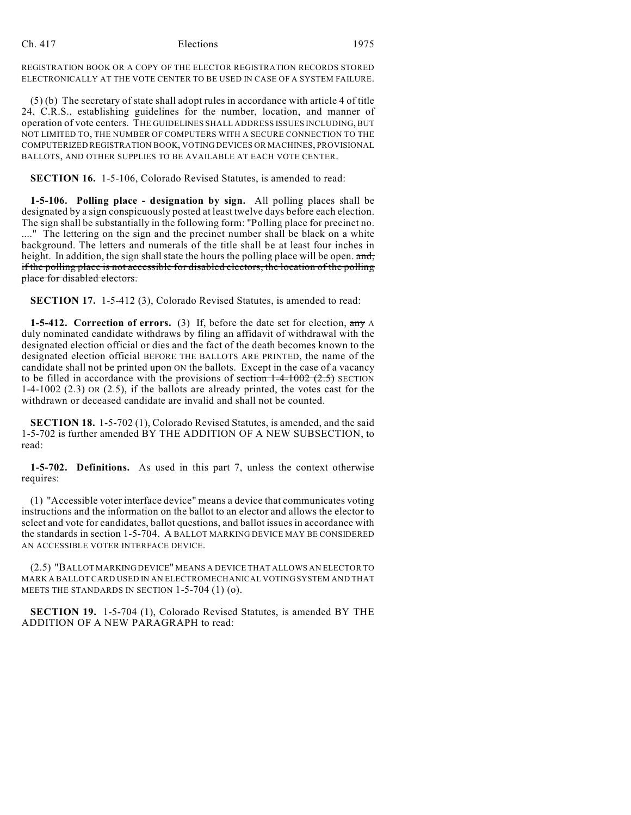REGISTRATION BOOK OR A COPY OF THE ELECTOR REGISTRATION RECORDS STORED ELECTRONICALLY AT THE VOTE CENTER TO BE USED IN CASE OF A SYSTEM FAILURE.

(5) (b) The secretary of state shall adopt rules in accordance with article 4 of title 24, C.R.S., establishing guidelines for the number, location, and manner of operation of vote centers. THE GUIDELINES SHALL ADDRESS ISSUES INCLUDING, BUT NOT LIMITED TO, THE NUMBER OF COMPUTERS WITH A SECURE CONNECTION TO THE COMPUTERIZED REGISTRATION BOOK, VOTING DEVICES OR MACHINES, PROVISIONAL BALLOTS, AND OTHER SUPPLIES TO BE AVAILABLE AT EACH VOTE CENTER.

**SECTION 16.** 1-5-106, Colorado Revised Statutes, is amended to read:

**1-5-106. Polling place - designation by sign.** All polling places shall be designated by a sign conspicuously posted at least twelve days before each election. The sign shall be substantially in the following form: "Polling place for precinct no. ...." The lettering on the sign and the precinct number shall be black on a white background. The letters and numerals of the title shall be at least four inches in height. In addition, the sign shall state the hours the polling place will be open. and, if the polling place is not accessible for disabled electors, the location of the polling place for disabled electors.

**SECTION 17.** 1-5-412 (3), Colorado Revised Statutes, is amended to read:

**1-5-412. Correction of errors.** (3) If, before the date set for election, any A duly nominated candidate withdraws by filing an affidavit of withdrawal with the designated election official or dies and the fact of the death becomes known to the designated election official BEFORE THE BALLOTS ARE PRINTED, the name of the candidate shall not be printed upon ON the ballots. Except in the case of a vacancy to be filled in accordance with the provisions of section  $1-4-1002$  (2.5) SECTION 1-4-1002 (2.3) OR (2.5), if the ballots are already printed, the votes cast for the withdrawn or deceased candidate are invalid and shall not be counted.

**SECTION 18.** 1-5-702 (1), Colorado Revised Statutes, is amended, and the said 1-5-702 is further amended BY THE ADDITION OF A NEW SUBSECTION, to read:

**1-5-702. Definitions.** As used in this part 7, unless the context otherwise requires:

(1) "Accessible voter interface device" means a device that communicates voting instructions and the information on the ballot to an elector and allows the elector to select and vote for candidates, ballot questions, and ballot issues in accordance with the standards in section 1-5-704. A BALLOT MARKING DEVICE MAY BE CONSIDERED AN ACCESSIBLE VOTER INTERFACE DEVICE.

(2.5) "BALLOT MARKING DEVICE" MEANS A DEVICE THAT ALLOWS AN ELECTOR TO MARK A BALLOT CARD USED IN AN ELECTROMECHANICAL VOTING SYSTEM AND THAT MEETS THE STANDARDS IN SECTION 1-5-704 (1) (o).

**SECTION 19.** 1-5-704 (1), Colorado Revised Statutes, is amended BY THE ADDITION OF A NEW PARAGRAPH to read: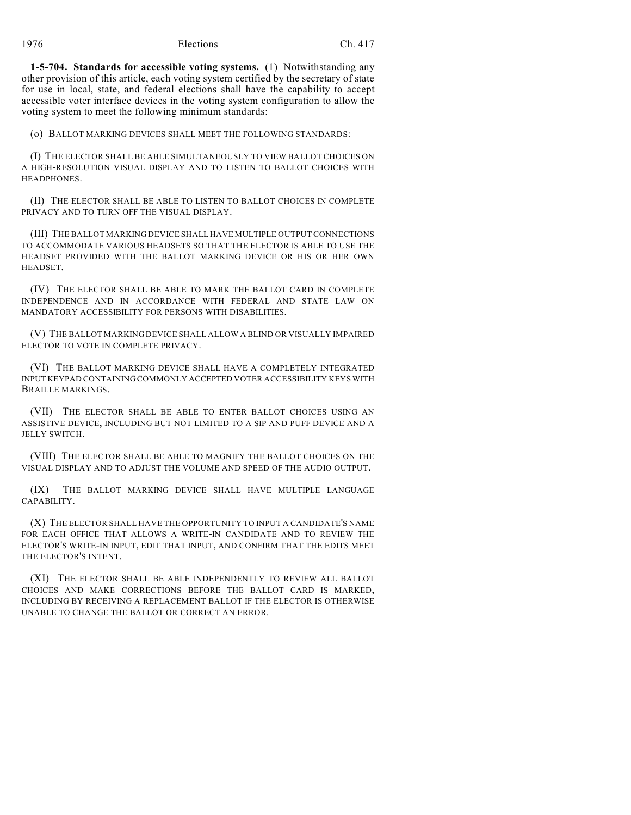**1-5-704. Standards for accessible voting systems.** (1) Notwithstanding any other provision of this article, each voting system certified by the secretary of state for use in local, state, and federal elections shall have the capability to accept accessible voter interface devices in the voting system configuration to allow the voting system to meet the following minimum standards:

(o) BALLOT MARKING DEVICES SHALL MEET THE FOLLOWING STANDARDS:

(I) THE ELECTOR SHALL BE ABLE SIMULTANEOUSLY TO VIEW BALLOT CHOICES ON A HIGH-RESOLUTION VISUAL DISPLAY AND TO LISTEN TO BALLOT CHOICES WITH HEADPHONES.

(II) THE ELECTOR SHALL BE ABLE TO LISTEN TO BALLOT CHOICES IN COMPLETE PRIVACY AND TO TURN OFF THE VISUAL DISPLAY.

(III) THE BALLOT MARKING DEVICE SHALL HAVE MULTIPLE OUTPUT CONNECTIONS TO ACCOMMODATE VARIOUS HEADSETS SO THAT THE ELECTOR IS ABLE TO USE THE HEADSET PROVIDED WITH THE BALLOT MARKING DEVICE OR HIS OR HER OWN HEADSET.

(IV) THE ELECTOR SHALL BE ABLE TO MARK THE BALLOT CARD IN COMPLETE INDEPENDENCE AND IN ACCORDANCE WITH FEDERAL AND STATE LAW ON MANDATORY ACCESSIBILITY FOR PERSONS WITH DISABILITIES.

(V) THE BALLOT MARKING DEVICE SHALL ALLOW A BLIND OR VISUALLY IMPAIRED ELECTOR TO VOTE IN COMPLETE PRIVACY.

(VI) THE BALLOT MARKING DEVICE SHALL HAVE A COMPLETELY INTEGRATED INPUT KEYPAD CONTAINING COMMONLY ACCEPTED VOTER ACCESSIBILITY KEYS WITH BRAILLE MARKINGS.

(VII) THE ELECTOR SHALL BE ABLE TO ENTER BALLOT CHOICES USING AN ASSISTIVE DEVICE, INCLUDING BUT NOT LIMITED TO A SIP AND PUFF DEVICE AND A JELLY SWITCH.

(VIII) THE ELECTOR SHALL BE ABLE TO MAGNIFY THE BALLOT CHOICES ON THE VISUAL DISPLAY AND TO ADJUST THE VOLUME AND SPEED OF THE AUDIO OUTPUT.

(IX) THE BALLOT MARKING DEVICE SHALL HAVE MULTIPLE LANGUAGE CAPABILITY.

(X) THE ELECTOR SHALL HAVE THE OPPORTUNITY TO INPUT A CANDIDATE'S NAME FOR EACH OFFICE THAT ALLOWS A WRITE-IN CANDIDATE AND TO REVIEW THE ELECTOR'S WRITE-IN INPUT, EDIT THAT INPUT, AND CONFIRM THAT THE EDITS MEET THE ELECTOR'S INTENT.

(XI) THE ELECTOR SHALL BE ABLE INDEPENDENTLY TO REVIEW ALL BALLOT CHOICES AND MAKE CORRECTIONS BEFORE THE BALLOT CARD IS MARKED, INCLUDING BY RECEIVING A REPLACEMENT BALLOT IF THE ELECTOR IS OTHERWISE UNABLE TO CHANGE THE BALLOT OR CORRECT AN ERROR.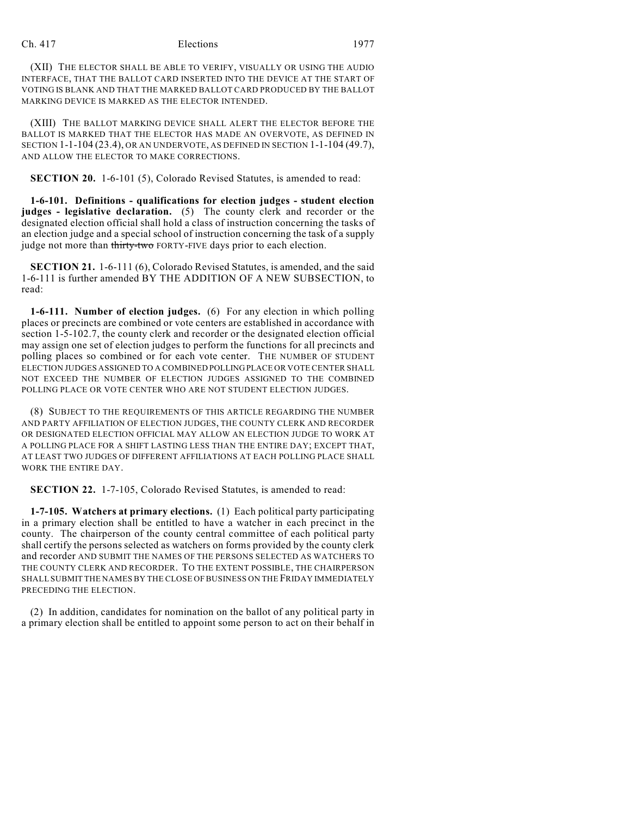(XII) THE ELECTOR SHALL BE ABLE TO VERIFY, VISUALLY OR USING THE AUDIO INTERFACE, THAT THE BALLOT CARD INSERTED INTO THE DEVICE AT THE START OF VOTING IS BLANK AND THAT THE MARKED BALLOT CARD PRODUCED BY THE BALLOT MARKING DEVICE IS MARKED AS THE ELECTOR INTENDED.

(XIII) THE BALLOT MARKING DEVICE SHALL ALERT THE ELECTOR BEFORE THE BALLOT IS MARKED THAT THE ELECTOR HAS MADE AN OVERVOTE, AS DEFINED IN SECTION 1-1-104 (23.4), OR AN UNDERVOTE, AS DEFINED IN SECTION 1-1-104 (49.7), AND ALLOW THE ELECTOR TO MAKE CORRECTIONS.

**SECTION 20.** 1-6-101 (5), Colorado Revised Statutes, is amended to read:

**1-6-101. Definitions - qualifications for election judges - student election judges - legislative declaration.** (5) The county clerk and recorder or the designated election official shall hold a class of instruction concerning the tasks of an election judge and a special school of instruction concerning the task of a supply judge not more than thirty-two FORTY-FIVE days prior to each election.

**SECTION 21.** 1-6-111 (6), Colorado Revised Statutes, is amended, and the said 1-6-111 is further amended BY THE ADDITION OF A NEW SUBSECTION, to read:

**1-6-111. Number of election judges.** (6) For any election in which polling places or precincts are combined or vote centers are established in accordance with section 1-5-102.7, the county clerk and recorder or the designated election official may assign one set of election judges to perform the functions for all precincts and polling places so combined or for each vote center. THE NUMBER OF STUDENT ELECTION JUDGES ASSIGNED TO A COMBINED POLLING PLACE OR VOTE CENTER SHALL NOT EXCEED THE NUMBER OF ELECTION JUDGES ASSIGNED TO THE COMBINED POLLING PLACE OR VOTE CENTER WHO ARE NOT STUDENT ELECTION JUDGES.

(8) SUBJECT TO THE REQUIREMENTS OF THIS ARTICLE REGARDING THE NUMBER AND PARTY AFFILIATION OF ELECTION JUDGES, THE COUNTY CLERK AND RECORDER OR DESIGNATED ELECTION OFFICIAL MAY ALLOW AN ELECTION JUDGE TO WORK AT A POLLING PLACE FOR A SHIFT LASTING LESS THAN THE ENTIRE DAY; EXCEPT THAT, AT LEAST TWO JUDGES OF DIFFERENT AFFILIATIONS AT EACH POLLING PLACE SHALL WORK THE ENTIRE DAY.

**SECTION 22.** 1-7-105, Colorado Revised Statutes, is amended to read:

**1-7-105. Watchers at primary elections.** (1) Each political party participating in a primary election shall be entitled to have a watcher in each precinct in the county. The chairperson of the county central committee of each political party shall certify the persons selected as watchers on forms provided by the county clerk and recorder AND SUBMIT THE NAMES OF THE PERSONS SELECTED AS WATCHERS TO THE COUNTY CLERK AND RECORDER. TO THE EXTENT POSSIBLE, THE CHAIRPERSON SHALL SUBMIT THE NAMES BY THE CLOSE OF BUSINESS ON THE FRIDAY IMMEDIATELY PRECEDING THE ELECTION.

(2) In addition, candidates for nomination on the ballot of any political party in a primary election shall be entitled to appoint some person to act on their behalf in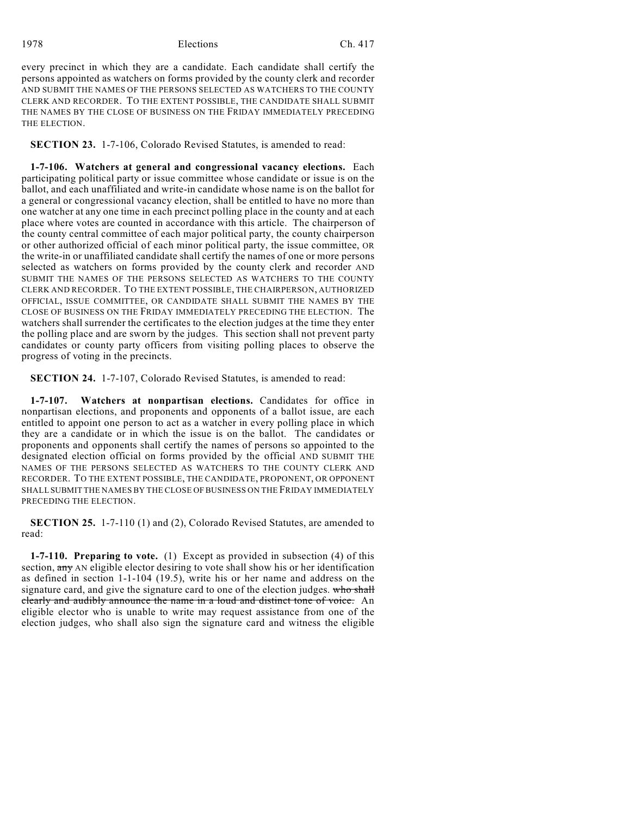every precinct in which they are a candidate. Each candidate shall certify the persons appointed as watchers on forms provided by the county clerk and recorder AND SUBMIT THE NAMES OF THE PERSONS SELECTED AS WATCHERS TO THE COUNTY CLERK AND RECORDER. TO THE EXTENT POSSIBLE, THE CANDIDATE SHALL SUBMIT THE NAMES BY THE CLOSE OF BUSINESS ON THE FRIDAY IMMEDIATELY PRECEDING THE ELECTION.

**SECTION 23.** 1-7-106, Colorado Revised Statutes, is amended to read:

**1-7-106. Watchers at general and congressional vacancy elections.** Each participating political party or issue committee whose candidate or issue is on the ballot, and each unaffiliated and write-in candidate whose name is on the ballot for a general or congressional vacancy election, shall be entitled to have no more than one watcher at any one time in each precinct polling place in the county and at each place where votes are counted in accordance with this article. The chairperson of the county central committee of each major political party, the county chairperson or other authorized official of each minor political party, the issue committee, OR the write-in or unaffiliated candidate shall certify the names of one or more persons selected as watchers on forms provided by the county clerk and recorder AND SUBMIT THE NAMES OF THE PERSONS SELECTED AS WATCHERS TO THE COUNTY CLERK AND RECORDER. TO THE EXTENT POSSIBLE, THE CHAIRPERSON, AUTHORIZED OFFICIAL, ISSUE COMMITTEE, OR CANDIDATE SHALL SUBMIT THE NAMES BY THE CLOSE OF BUSINESS ON THE FRIDAY IMMEDIATELY PRECEDING THE ELECTION. The watchers shall surrender the certificates to the election judges at the time they enter the polling place and are sworn by the judges. This section shall not prevent party candidates or county party officers from visiting polling places to observe the progress of voting in the precincts.

**SECTION 24.** 1-7-107, Colorado Revised Statutes, is amended to read:

**1-7-107. Watchers at nonpartisan elections.** Candidates for office in nonpartisan elections, and proponents and opponents of a ballot issue, are each entitled to appoint one person to act as a watcher in every polling place in which they are a candidate or in which the issue is on the ballot. The candidates or proponents and opponents shall certify the names of persons so appointed to the designated election official on forms provided by the official AND SUBMIT THE NAMES OF THE PERSONS SELECTED AS WATCHERS TO THE COUNTY CLERK AND RECORDER. TO THE EXTENT POSSIBLE, THE CANDIDATE, PROPONENT, OR OPPONENT SHALL SUBMIT THE NAMES BY THE CLOSE OF BUSINESS ON THE FRIDAY IMMEDIATELY PRECEDING THE ELECTION.

**SECTION 25.** 1-7-110 (1) and (2), Colorado Revised Statutes, are amended to read:

**1-7-110. Preparing to vote.** (1) Except as provided in subsection (4) of this section, any AN eligible elector desiring to vote shall show his or her identification as defined in section 1-1-104 (19.5), write his or her name and address on the signature card, and give the signature card to one of the election judges. who shall clearly and audibly announce the name in a loud and distinct tone of voice. An eligible elector who is unable to write may request assistance from one of the election judges, who shall also sign the signature card and witness the eligible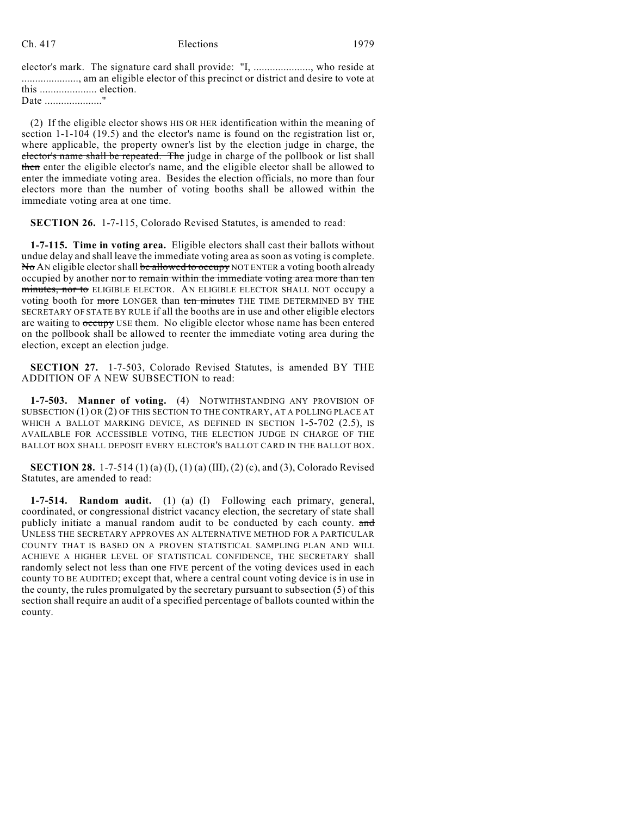elector's mark. The signature card shall provide: "I, ....................., who reside at ....................., am an eligible elector of this precinct or district and desire to vote at this ..................... election.

Date ......................."

(2) If the eligible elector shows HIS OR HER identification within the meaning of section 1-1-104 (19.5) and the elector's name is found on the registration list or, where applicable, the property owner's list by the election judge in charge, the elector's name shall be repeated. The judge in charge of the pollbook or list shall then enter the eligible elector's name, and the eligible elector shall be allowed to enter the immediate voting area. Besides the election officials, no more than four electors more than the number of voting booths shall be allowed within the immediate voting area at one time.

**SECTION 26.** 1-7-115, Colorado Revised Statutes, is amended to read:

**1-7-115. Time in voting area.** Eligible electors shall cast their ballots without undue delay and shall leave the immediate voting area as soon as voting is complete. No AN eligible elector shall be allowed to occupy NOT ENTER a voting booth already occupied by another nor to remain within the immediate voting area more than ten minutes, nor to ELIGIBLE ELECTOR. AN ELIGIBLE ELECTOR SHALL NOT occupy a voting booth for more LONGER than ten minutes THE TIME DETERMINED BY THE SECRETARY OF STATE BY RULE if all the booths are in use and other eligible electors are waiting to  $\alpha$  use them. No eligible elector whose name has been entered on the pollbook shall be allowed to reenter the immediate voting area during the election, except an election judge.

**SECTION 27.** 1-7-503, Colorado Revised Statutes, is amended BY THE ADDITION OF A NEW SUBSECTION to read:

**1-7-503. Manner of voting.** (4) NOTWITHSTANDING ANY PROVISION OF SUBSECTION (1) OR (2) OF THIS SECTION TO THE CONTRARY, AT A POLLING PLACE AT WHICH A BALLOT MARKING DEVICE, AS DEFINED IN SECTION 1-5-702 (2.5), IS AVAILABLE FOR ACCESSIBLE VOTING, THE ELECTION JUDGE IN CHARGE OF THE BALLOT BOX SHALL DEPOSIT EVERY ELECTOR'S BALLOT CARD IN THE BALLOT BOX.

**SECTION 28.** 1-7-514 (1) (a) (I), (1) (a) (III), (2) (c), and (3), Colorado Revised Statutes, are amended to read:

**1-7-514. Random audit.** (1) (a) (I) Following each primary, general, coordinated, or congressional district vacancy election, the secretary of state shall publicly initiate a manual random audit to be conducted by each county. and UNLESS THE SECRETARY APPROVES AN ALTERNATIVE METHOD FOR A PARTICULAR COUNTY THAT IS BASED ON A PROVEN STATISTICAL SAMPLING PLAN AND WILL ACHIEVE A HIGHER LEVEL OF STATISTICAL CONFIDENCE, THE SECRETARY shall randomly select not less than one FIVE percent of the voting devices used in each county TO BE AUDITED; except that, where a central count voting device is in use in the county, the rules promulgated by the secretary pursuant to subsection (5) of this section shall require an audit of a specified percentage of ballots counted within the county.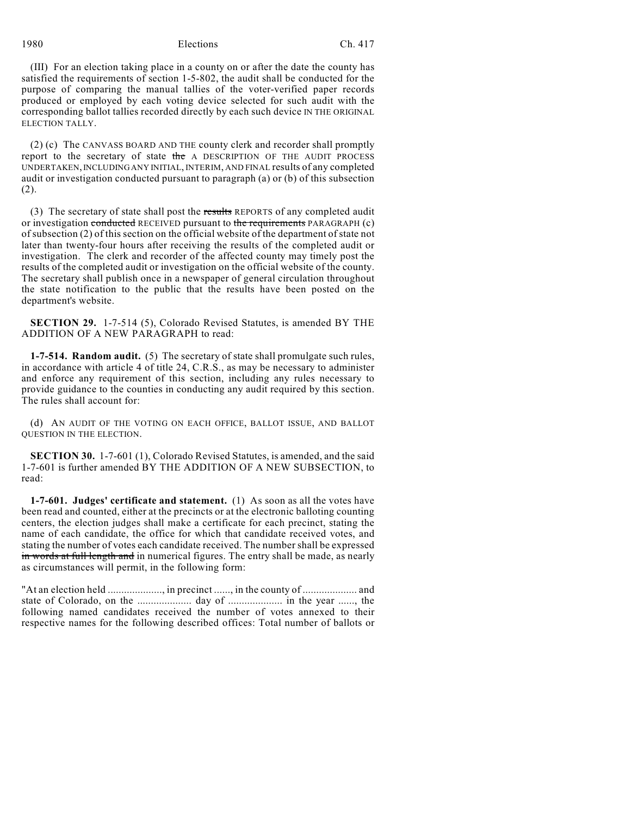(III) For an election taking place in a county on or after the date the county has satisfied the requirements of section 1-5-802, the audit shall be conducted for the purpose of comparing the manual tallies of the voter-verified paper records produced or employed by each voting device selected for such audit with the corresponding ballot tallies recorded directly by each such device IN THE ORIGINAL ELECTION TALLY.

(2) (c) The CANVASS BOARD AND THE county clerk and recorder shall promptly report to the secretary of state the A DESCRIPTION OF THE AUDIT PROCESS UNDERTAKEN, INCLUDING ANY INITIAL, INTERIM, AND FINAL results of any completed audit or investigation conducted pursuant to paragraph (a) or (b) of this subsection (2).

(3) The secretary of state shall post the results REPORTS of any completed audit or investigation conducted RECEIVED pursuant to the requirements PARAGRAPH (c) of subsection (2) of this section on the official website of the department of state not later than twenty-four hours after receiving the results of the completed audit or investigation. The clerk and recorder of the affected county may timely post the results of the completed audit or investigation on the official website of the county. The secretary shall publish once in a newspaper of general circulation throughout the state notification to the public that the results have been posted on the department's website.

**SECTION 29.** 1-7-514 (5), Colorado Revised Statutes, is amended BY THE ADDITION OF A NEW PARAGRAPH to read:

**1-7-514. Random audit.** (5) The secretary of state shall promulgate such rules, in accordance with article 4 of title 24, C.R.S., as may be necessary to administer and enforce any requirement of this section, including any rules necessary to provide guidance to the counties in conducting any audit required by this section. The rules shall account for:

(d) AN AUDIT OF THE VOTING ON EACH OFFICE, BALLOT ISSUE, AND BALLOT QUESTION IN THE ELECTION.

**SECTION 30.** 1-7-601 (1), Colorado Revised Statutes, is amended, and the said 1-7-601 is further amended BY THE ADDITION OF A NEW SUBSECTION, to read:

**1-7-601. Judges' certificate and statement.** (1) As soon as all the votes have been read and counted, either at the precincts or at the electronic balloting counting centers, the election judges shall make a certificate for each precinct, stating the name of each candidate, the office for which that candidate received votes, and stating the number of votes each candidate received. The number shall be expressed in words at full length and in numerical figures. The entry shall be made, as nearly as circumstances will permit, in the following form:

"At an election held ...................., in precinct ......, in the county of .................... and state of Colorado, on the .................... day of .................... in the year ......, the following named candidates received the number of votes annexed to their respective names for the following described offices: Total number of ballots or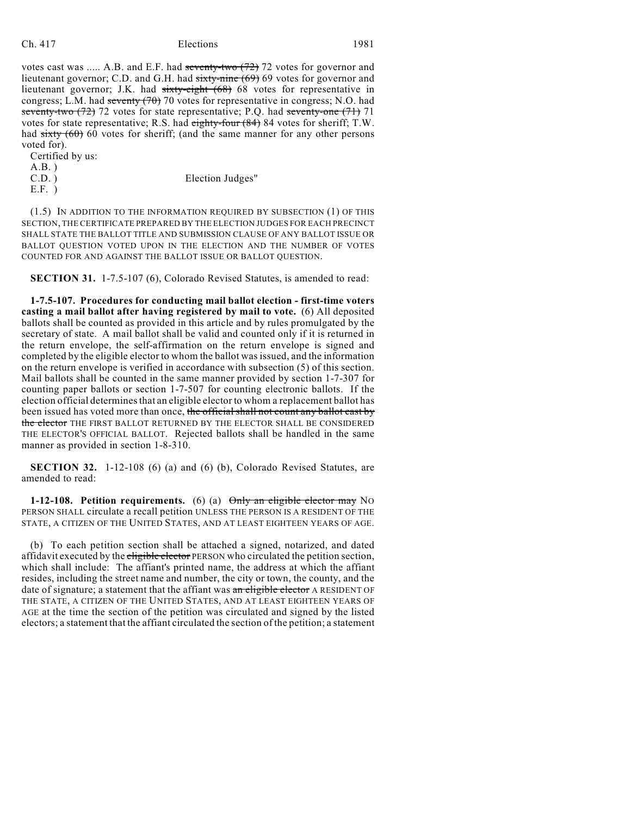votes cast was ..... A.B. and E.F. had seventy-two (72) 72 votes for governor and lieutenant governor; C.D. and G.H. had sixty-nine (69) 69 votes for governor and lieutenant governor; J.K. had sixty-eight (68) 68 votes for representative in congress; L.M. had seventy (70) 70 votes for representative in congress; N.O. had seventy-two  $(72)$  72 votes for state representative; P.Q. had seventy-one  $(71)$  71 votes for state representative; R.S. had eighty-four (84) 84 votes for sheriff; T.W. had  $sixty(60)$  60 votes for sheriff; (and the same manner for any other persons voted for).

Certified by us:

A.B. ) C.D. ) Election Judges"

E.F. )

(1.5) IN ADDITION TO THE INFORMATION REQUIRED BY SUBSECTION (1) OF THIS SECTION, THE CERTIFICATE PREPARED BY THE ELECTION JUDGES FOR EACH PRECINCT SHALL STATE THE BALLOT TITLE AND SUBMISSION CLAUSE OF ANY BALLOT ISSUE OR BALLOT QUESTION VOTED UPON IN THE ELECTION AND THE NUMBER OF VOTES COUNTED FOR AND AGAINST THE BALLOT ISSUE OR BALLOT QUESTION.

**SECTION 31.** 1-7.5-107 (6), Colorado Revised Statutes, is amended to read:

**1-7.5-107. Procedures for conducting mail ballot election - first-time voters casting a mail ballot after having registered by mail to vote.** (6) All deposited ballots shall be counted as provided in this article and by rules promulgated by the secretary of state. A mail ballot shall be valid and counted only if it is returned in the return envelope, the self-affirmation on the return envelope is signed and completed by the eligible elector to whom the ballot was issued, and the information on the return envelope is verified in accordance with subsection (5) of this section. Mail ballots shall be counted in the same manner provided by section 1-7-307 for counting paper ballots or section 1-7-507 for counting electronic ballots. If the election official determines that an eligible elector to whom a replacement ballot has been issued has voted more than once, the official shall not count any ballot cast by the elector THE FIRST BALLOT RETURNED BY THE ELECTOR SHALL BE CONSIDERED THE ELECTOR'S OFFICIAL BALLOT. Rejected ballots shall be handled in the same manner as provided in section 1-8-310.

**SECTION 32.** 1-12-108 (6) (a) and (6) (b), Colorado Revised Statutes, are amended to read:

**1-12-108. Petition requirements.** (6) (a)  $\theta$ mly an eligible elector may NO PERSON SHALL circulate a recall petition UNLESS THE PERSON IS A RESIDENT OF THE STATE, A CITIZEN OF THE UNITED STATES, AND AT LEAST EIGHTEEN YEARS OF AGE.

(b) To each petition section shall be attached a signed, notarized, and dated affidavit executed by the eligible elector PERSON who circulated the petition section, which shall include: The affiant's printed name, the address at which the affiant resides, including the street name and number, the city or town, the county, and the date of signature; a statement that the affiant was an eligible elector A RESIDENT OF THE STATE, A CITIZEN OF THE UNITED STATES, AND AT LEAST EIGHTEEN YEARS OF AGE at the time the section of the petition was circulated and signed by the listed electors; a statement that the affiant circulated the section of the petition; a statement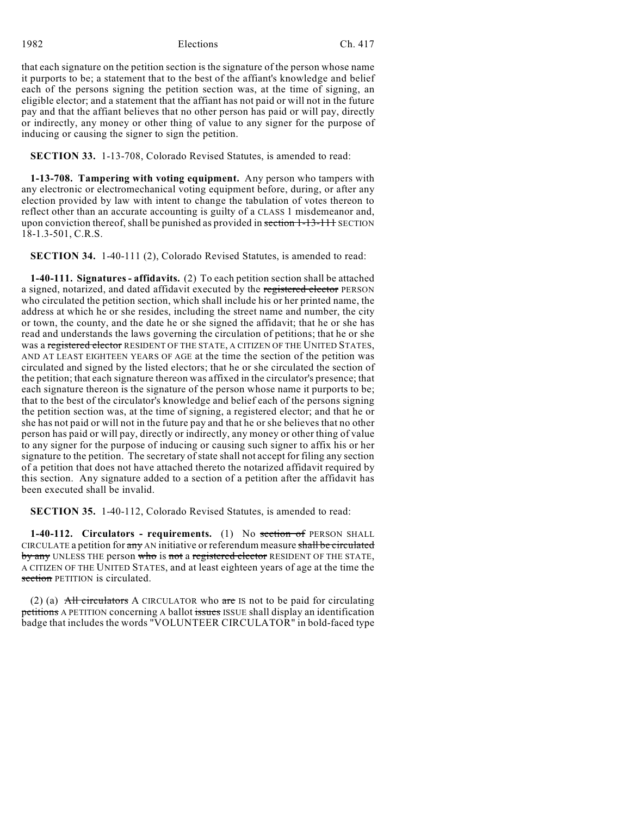that each signature on the petition section is the signature of the person whose name it purports to be; a statement that to the best of the affiant's knowledge and belief each of the persons signing the petition section was, at the time of signing, an eligible elector; and a statement that the affiant has not paid or will not in the future pay and that the affiant believes that no other person has paid or will pay, directly or indirectly, any money or other thing of value to any signer for the purpose of inducing or causing the signer to sign the petition.

**SECTION 33.** 1-13-708, Colorado Revised Statutes, is amended to read:

**1-13-708. Tampering with voting equipment.** Any person who tampers with any electronic or electromechanical voting equipment before, during, or after any election provided by law with intent to change the tabulation of votes thereon to reflect other than an accurate accounting is guilty of a CLASS 1 misdemeanor and, upon conviction thereof, shall be punished as provided in section  $1-13-111$  SECTION 18-1.3-501, C.R.S.

**SECTION 34.** 1-40-111 (2), Colorado Revised Statutes, is amended to read:

**1-40-111. Signatures - affidavits.** (2) To each petition section shall be attached a signed, notarized, and dated affidavit executed by the registered elector PERSON who circulated the petition section, which shall include his or her printed name, the address at which he or she resides, including the street name and number, the city or town, the county, and the date he or she signed the affidavit; that he or she has read and understands the laws governing the circulation of petitions; that he or she was a registered elector RESIDENT OF THE STATE, A CITIZEN OF THE UNITED STATES, AND AT LEAST EIGHTEEN YEARS OF AGE at the time the section of the petition was circulated and signed by the listed electors; that he or she circulated the section of the petition; that each signature thereon was affixed in the circulator's presence; that each signature thereon is the signature of the person whose name it purports to be; that to the best of the circulator's knowledge and belief each of the persons signing the petition section was, at the time of signing, a registered elector; and that he or she has not paid or will not in the future pay and that he or she believes that no other person has paid or will pay, directly or indirectly, any money or other thing of value to any signer for the purpose of inducing or causing such signer to affix his or her signature to the petition. The secretary of state shall not accept for filing any section of a petition that does not have attached thereto the notarized affidavit required by this section. Any signature added to a section of a petition after the affidavit has been executed shall be invalid.

**SECTION 35.** 1-40-112, Colorado Revised Statutes, is amended to read:

**1-40-112. Circulators - requirements.** (1) No section of PERSON SHALL CIRCULATE a petition for any AN initiative or referendum measure shall be circulated by any UNLESS THE person who is not a registered elector RESIDENT OF THE STATE, A CITIZEN OF THE UNITED STATES, and at least eighteen years of age at the time the section PETITION is circulated.

(2) (a)  $\overrightarrow{All}$  circulators A CIRCULATOR who are IS not to be paid for circulating petitions A PETITION concerning A ballot issues ISSUE shall display an identification badge that includes the words "VOLUNTEER CIRCULATOR" in bold-faced type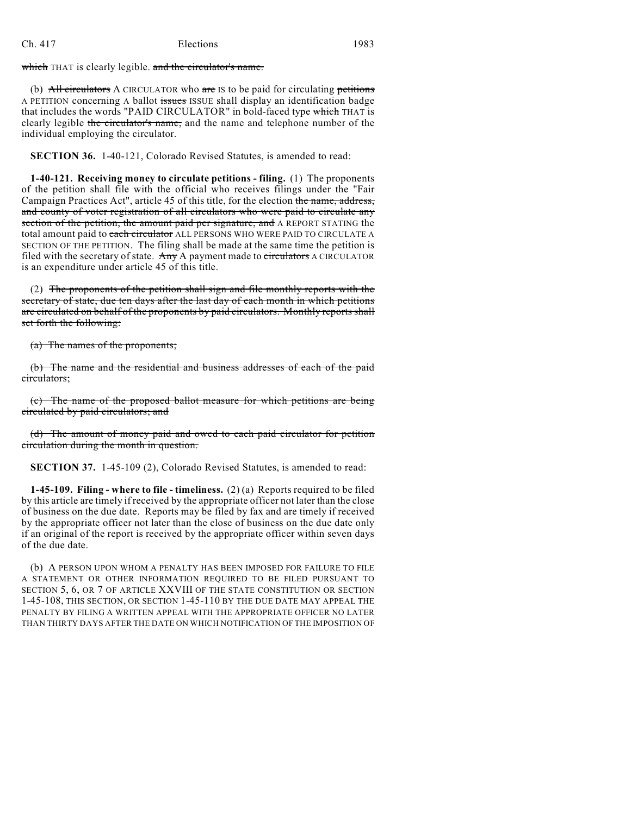which THAT is clearly legible. and the circulator's name.

(b)  $\overrightarrow{AH}$  circulators A CIRCULATOR who are IS to be paid for circulating petitions A PETITION concerning A ballot issues ISSUE shall display an identification badge that includes the words "PAID CIRCULATOR" in bold-faced type which THAT is clearly legible the circulator's name, and the name and telephone number of the individual employing the circulator.

**SECTION 36.** 1-40-121, Colorado Revised Statutes, is amended to read:

**1-40-121. Receiving money to circulate petitions - filing.** (1) The proponents of the petition shall file with the official who receives filings under the "Fair Campaign Practices Act", article 45 of this title, for the election the name, address, and county of voter registration of all circulators who were paid to circulate any section of the petition, the amount paid per signature, and A REPORT STATING the total amount paid to *each circulator* ALL PERSONS WHO WERE PAID TO CIRCULATE A SECTION OF THE PETITION. The filing shall be made at the same time the petition is filed with the secretary of state. Any A payment made to circulators A CIRCULATOR is an expenditure under article 45 of this title.

(2) The proponents of the petition shall sign and file monthly reports with the secretary of state, due ten days after the last day of each month in which petitions are circulated on behalf of the proponents by paid circulators. Monthly reports shall set forth the following:

(a) The names of the proponents;

(b) The name and the residential and business addresses of each of the paid circulators;

(c) The name of the proposed ballot measure for which petitions are being circulated by paid circulators; and

(d) The amount of money paid and owed to each paid circulator for petition circulation during the month in question.

**SECTION 37.** 1-45-109 (2), Colorado Revised Statutes, is amended to read:

**1-45-109. Filing - where to file - timeliness.** (2) (a) Reports required to be filed by this article are timely if received by the appropriate officer not later than the close of business on the due date. Reports may be filed by fax and are timely if received by the appropriate officer not later than the close of business on the due date only if an original of the report is received by the appropriate officer within seven days of the due date.

(b) A PERSON UPON WHOM A PENALTY HAS BEEN IMPOSED FOR FAILURE TO FILE A STATEMENT OR OTHER INFORMATION REQUIRED TO BE FILED PURSUANT TO SECTION 5, 6, OR 7 OF ARTICLE XXVIII OF THE STATE CONSTITUTION OR SECTION 1-45-108, THIS SECTION, OR SECTION 1-45-110 BY THE DUE DATE MAY APPEAL THE PENALTY BY FILING A WRITTEN APPEAL WITH THE APPROPRIATE OFFICER NO LATER THAN THIRTY DAYS AFTER THE DATE ON WHICH NOTIFICATION OF THE IMPOSITION OF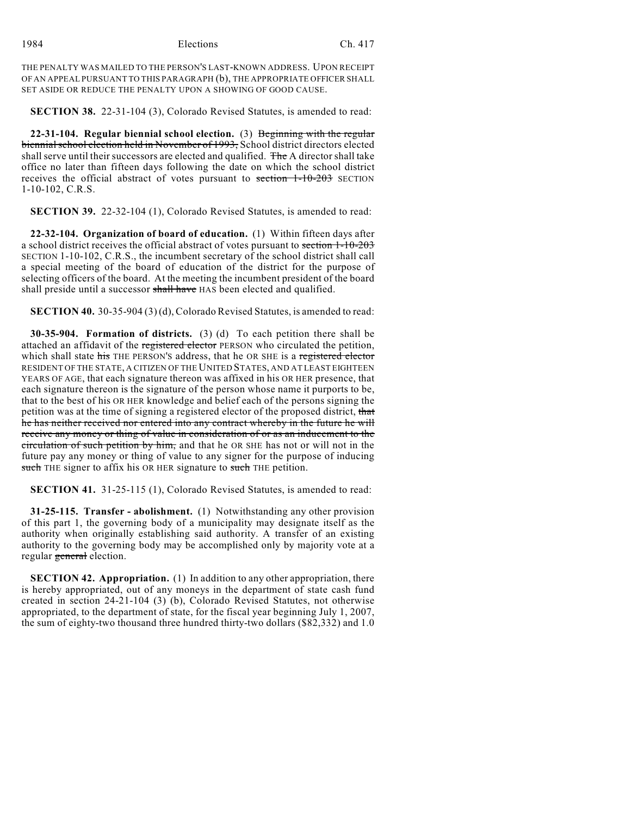THE PENALTY WAS MAILED TO THE PERSON'S LAST-KNOWN ADDRESS. UPON RECEIPT OF AN APPEAL PURSUANT TO THIS PARAGRAPH (b), THE APPROPRIATE OFFICER SHALL SET ASIDE OR REDUCE THE PENALTY UPON A SHOWING OF GOOD CAUSE.

**SECTION 38.** 22-31-104 (3), Colorado Revised Statutes, is amended to read:

**22-31-104. Regular biennial school election.** (3) Beginning with the regular biennial school election held in November of 1993, School district directors elected shall serve until their successors are elected and qualified. The A director shall take office no later than fifteen days following the date on which the school district receives the official abstract of votes pursuant to section 1-10-203 SECTION 1-10-102, C.R.S.

**SECTION 39.** 22-32-104 (1), Colorado Revised Statutes, is amended to read:

**22-32-104. Organization of board of education.** (1) Within fifteen days after a school district receives the official abstract of votes pursuant to section 1-10-203 SECTION 1-10-102, C.R.S., the incumbent secretary of the school district shall call a special meeting of the board of education of the district for the purpose of selecting officers of the board. At the meeting the incumbent president of the board shall preside until a successor shall have HAS been elected and qualified.

**SECTION 40.** 30-35-904 (3) (d), Colorado Revised Statutes, is amended to read:

**30-35-904. Formation of districts.** (3) (d) To each petition there shall be attached an affidavit of the registered elector PERSON who circulated the petition, which shall state his THE PERSON'S address, that he OR SHE is a registered elector RESIDENT OF THE STATE, A CITIZEN OF THE UNITED STATES, AND AT LEAST EIGHTEEN YEARS OF AGE, that each signature thereon was affixed in his OR HER presence, that each signature thereon is the signature of the person whose name it purports to be, that to the best of his OR HER knowledge and belief each of the persons signing the petition was at the time of signing a registered elector of the proposed district, that he has neither received nor entered into any contract whereby in the future he will receive any money or thing of value in consideration of or as an inducement to the circulation of such petition by him, and that he OR SHE has not or will not in the future pay any money or thing of value to any signer for the purpose of inducing such THE signer to affix his OR HER signature to such THE petition.

**SECTION 41.** 31-25-115 (1), Colorado Revised Statutes, is amended to read:

**31-25-115. Transfer - abolishment.** (1) Notwithstanding any other provision of this part 1, the governing body of a municipality may designate itself as the authority when originally establishing said authority. A transfer of an existing authority to the governing body may be accomplished only by majority vote at a regular general election.

**SECTION 42. Appropriation.** (1) In addition to any other appropriation, there is hereby appropriated, out of any moneys in the department of state cash fund created in section 24-21-104 (3) (b), Colorado Revised Statutes, not otherwise appropriated, to the department of state, for the fiscal year beginning July 1, 2007, the sum of eighty-two thousand three hundred thirty-two dollars (\$82,332) and 1.0